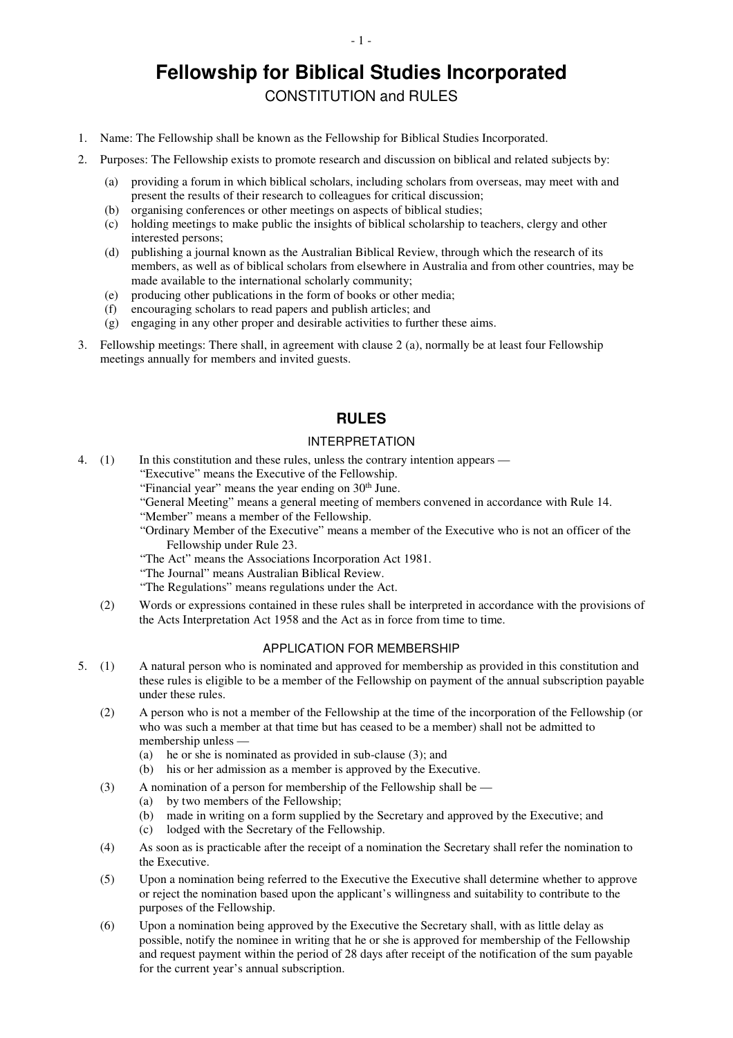# **Fellowship for Biblical Studies Incorporated**

CONSTITUTION and RULES

- 1. Name: The Fellowship shall be known as the Fellowship for Biblical Studies Incorporated.
- 2. Purposes: The Fellowship exists to promote research and discussion on biblical and related subjects by:
	- (a) providing a forum in which biblical scholars, including scholars from overseas, may meet with and present the results of their research to colleagues for critical discussion;
	- (b) organising conferences or other meetings on aspects of biblical studies;
	- (c) holding meetings to make public the insights of biblical scholarship to teachers, clergy and other interested persons;
	- (d) publishing a journal known as the Australian Biblical Review, through which the research of its members, as well as of biblical scholars from elsewhere in Australia and from other countries, may be made available to the international scholarly community;
	- (e) producing other publications in the form of books or other media;
	- (f) encouraging scholars to read papers and publish articles; and
	- (g) engaging in any other proper and desirable activities to further these aims.
- 3. Fellowship meetings: There shall, in agreement with clause 2 (a), normally be at least four Fellowship meetings annually for members and invited guests.

# **RULES**

# INTERPRETATION

- 4. (1) In this constitution and these rules, unless the contrary intention appears
	- "Executive" means the Executive of the Fellowship.
		- "Financial year" means the year ending on  $30<sup>th</sup>$  June.
		- "General Meeting" means a general meeting of members convened in accordance with Rule 14.

"Member" means a member of the Fellowship.

"Ordinary Member of the Executive" means a member of the Executive who is not an officer of the Fellowship under Rule 23.

- "The Act" means the Associations Incorporation Act 1981.
- "The Journal" means Australian Biblical Review.

"The Regulations" means regulations under the Act.

 (2) Words or expressions contained in these rules shall be interpreted in accordance with the provisions of the Acts Interpretation Act 1958 and the Act as in force from time to time.

## APPLICATION FOR MEMBERSHIP

- 5. (1) A natural person who is nominated and approved for membership as provided in this constitution and these rules is eligible to be a member of the Fellowship on payment of the annual subscription payable under these rules.
	- (2) A person who is not a member of the Fellowship at the time of the incorporation of the Fellowship (or who was such a member at that time but has ceased to be a member) shall not be admitted to membership unless —
		- (a) he or she is nominated as provided in sub-clause (3); and
		- (b) his or her admission as a member is approved by the Executive.
	- (3) A nomination of a person for membership of the Fellowship shall be
		- (a) by two members of the Fellowship;
		- (b) made in writing on a form supplied by the Secretary and approved by the Executive; and
		- (c) lodged with the Secretary of the Fellowship.
	- (4) As soon as is practicable after the receipt of a nomination the Secretary shall refer the nomination to the Executive.
	- (5) Upon a nomination being referred to the Executive the Executive shall determine whether to approve or reject the nomination based upon the applicant's willingness and suitability to contribute to the purposes of the Fellowship.
	- (6) Upon a nomination being approved by the Executive the Secretary shall, with as little delay as possible, notify the nominee in writing that he or she is approved for membership of the Fellowship and request payment within the period of 28 days after receipt of the notification of the sum payable for the current year's annual subscription.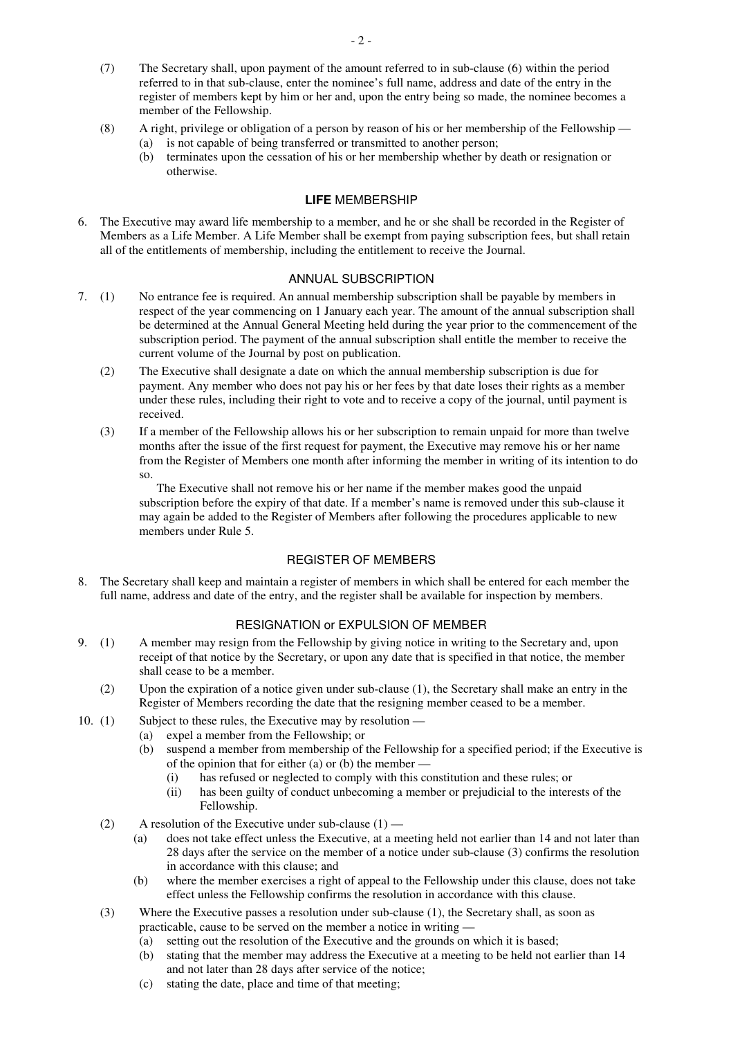- (7) The Secretary shall, upon payment of the amount referred to in sub-clause (6) within the period referred to in that sub-clause, enter the nominee's full name, address and date of the entry in the register of members kept by him or her and, upon the entry being so made, the nominee becomes a member of the Fellowship.
- (8) A right, privilege or obligation of a person by reason of his or her membership of the Fellowship (a) is not capable of being transferred or transmitted to another person;
	- (b) terminates upon the cessation of his or her membership whether by death or resignation or otherwise.

### **LIFE** MEMBERSHIP

6. The Executive may award life membership to a member, and he or she shall be recorded in the Register of Members as a Life Member. A Life Member shall be exempt from paying subscription fees, but shall retain all of the entitlements of membership, including the entitlement to receive the Journal.

### ANNUAL SUBSCRIPTION

- 7. (1) No entrance fee is required. An annual membership subscription shall be payable by members in respect of the year commencing on 1 January each year. The amount of the annual subscription shall be determined at the Annual General Meeting held during the year prior to the commencement of the subscription period. The payment of the annual subscription shall entitle the member to receive the current volume of the Journal by post on publication.
	- (2) The Executive shall designate a date on which the annual membership subscription is due for payment. Any member who does not pay his or her fees by that date loses their rights as a member under these rules, including their right to vote and to receive a copy of the journal, until payment is received.
	- (3) If a member of the Fellowship allows his or her subscription to remain unpaid for more than twelve months after the issue of the first request for payment, the Executive may remove his or her name from the Register of Members one month after informing the member in writing of its intention to do so.

The Executive shall not remove his or her name if the member makes good the unpaid subscription before the expiry of that date. If a member's name is removed under this sub-clause it may again be added to the Register of Members after following the procedures applicable to new members under Rule 5.

## REGISTER OF MEMBERS

8. The Secretary shall keep and maintain a register of members in which shall be entered for each member the full name, address and date of the entry, and the register shall be available for inspection by members.

## RESIGNATION or EXPULSION OF MEMBER

- 9. (1) A member may resign from the Fellowship by giving notice in writing to the Secretary and, upon receipt of that notice by the Secretary, or upon any date that is specified in that notice, the member shall cease to be a member.
	- (2) Upon the expiration of a notice given under sub-clause (1), the Secretary shall make an entry in the Register of Members recording the date that the resigning member ceased to be a member.
- 10. (1) Subject to these rules, the Executive may by resolution
	- (a) expel a member from the Fellowship; or
	- (b) suspend a member from membership of the Fellowship for a specified period; if the Executive is of the opinion that for either  $(a)$  or  $(b)$  the member —
		- (i) has refused or neglected to comply with this constitution and these rules; or
		- (ii) has been guilty of conduct unbecoming a member or prejudicial to the interests of the Fellowship.
	- (2) A resolution of the Executive under sub-clause  $(1)$ 
		- (a) does not take effect unless the Executive, at a meeting held not earlier than 14 and not later than 28 days after the service on the member of a notice under sub-clause (3) confirms the resolution in accordance with this clause; and
		- (b) where the member exercises a right of appeal to the Fellowship under this clause, does not take effect unless the Fellowship confirms the resolution in accordance with this clause.
	- (3) Where the Executive passes a resolution under sub-clause (1), the Secretary shall, as soon as practicable, cause to be served on the member a notice in writing —
		- (a) setting out the resolution of the Executive and the grounds on which it is based;
		- (b) stating that the member may address the Executive at a meeting to be held not earlier than 14 and not later than 28 days after service of the notice;
		- (c) stating the date, place and time of that meeting;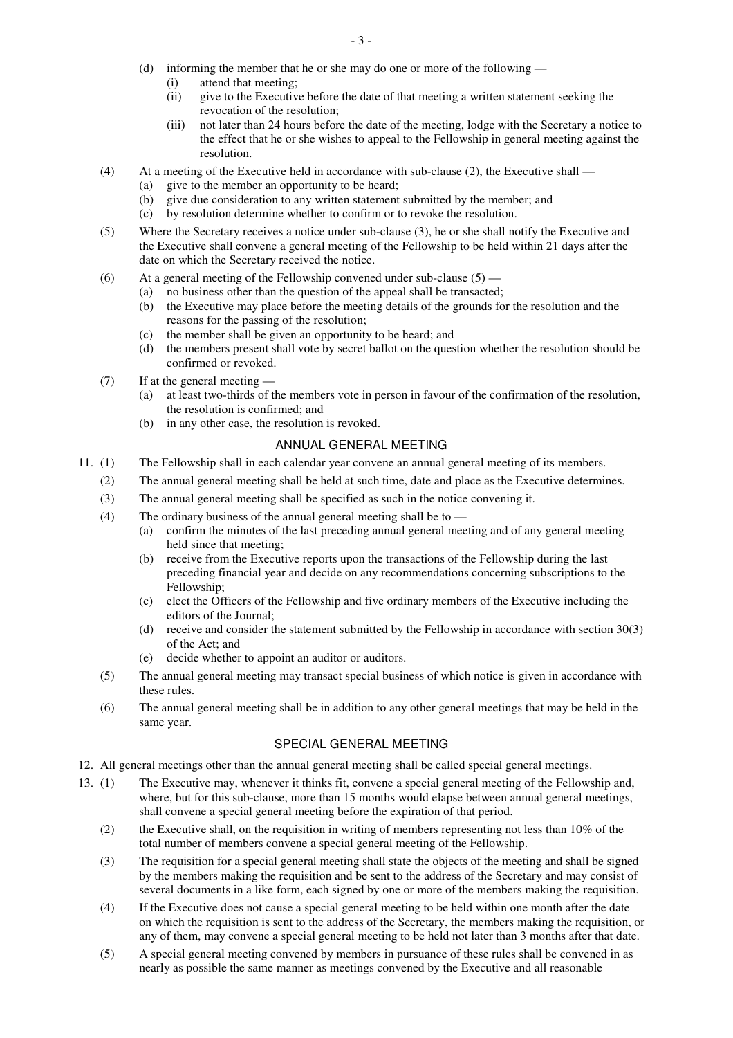- (d) informing the member that he or she may do one or more of the following
	- (i) attend that meeting;
	- (ii) give to the Executive before the date of that meeting a written statement seeking the revocation of the resolution;
	- (iii) not later than 24 hours before the date of the meeting, lodge with the Secretary a notice to the effect that he or she wishes to appeal to the Fellowship in general meeting against the resolution.
- (4) At a meeting of the Executive held in accordance with sub-clause (2), the Executive shall
	- (a) give to the member an opportunity to be heard;
		- (b) give due consideration to any written statement submitted by the member; and
		- (c) by resolution determine whether to confirm or to revoke the resolution.
- (5) Where the Secretary receives a notice under sub-clause (3), he or she shall notify the Executive and the Executive shall convene a general meeting of the Fellowship to be held within 21 days after the date on which the Secretary received the notice.
- (6) At a general meeting of the Fellowship convened under sub-clause  $(5)$  (a) no business other than the question of the appeal shall be transacted
	- no business other than the question of the appeal shall be transacted;
		- (b) the Executive may place before the meeting details of the grounds for the resolution and the reasons for the passing of the resolution;
		- (c) the member shall be given an opportunity to be heard; and
		- (d) the members present shall vote by secret ballot on the question whether the resolution should be confirmed or revoked.
- (7) If at the general meeting
	- (a) at least two-thirds of the members vote in person in favour of the confirmation of the resolution, the resolution is confirmed; and
	- (b) in any other case, the resolution is revoked.

## ANNUAL GENERAL MEETING

- 11. (1) The Fellowship shall in each calendar year convene an annual general meeting of its members.
	- (2) The annual general meeting shall be held at such time, date and place as the Executive determines.
	- (3) The annual general meeting shall be specified as such in the notice convening it.
	- (4) The ordinary business of the annual general meeting shall be to
		- (a) confirm the minutes of the last preceding annual general meeting and of any general meeting held since that meeting;
			- (b) receive from the Executive reports upon the transactions of the Fellowship during the last preceding financial year and decide on any recommendations concerning subscriptions to the Fellowship;
			- (c) elect the Officers of the Fellowship and five ordinary members of the Executive including the editors of the Journal;
		- (d) receive and consider the statement submitted by the Fellowship in accordance with section 30(3) of the Act; and
		- (e) decide whether to appoint an auditor or auditors.
	- (5) The annual general meeting may transact special business of which notice is given in accordance with these rules.
	- (6) The annual general meeting shall be in addition to any other general meetings that may be held in the same year.

# SPECIAL GENERAL MEETING

- 12. All general meetings other than the annual general meeting shall be called special general meetings.
- 13. (1) The Executive may, whenever it thinks fit, convene a special general meeting of the Fellowship and, where, but for this sub-clause, more than 15 months would elapse between annual general meetings, shall convene a special general meeting before the expiration of that period.
	- (2) the Executive shall, on the requisition in writing of members representing not less than 10% of the total number of members convene a special general meeting of the Fellowship.
	- (3) The requisition for a special general meeting shall state the objects of the meeting and shall be signed by the members making the requisition and be sent to the address of the Secretary and may consist of several documents in a like form, each signed by one or more of the members making the requisition.
	- (4) If the Executive does not cause a special general meeting to be held within one month after the date on which the requisition is sent to the address of the Secretary, the members making the requisition, or any of them, may convene a special general meeting to be held not later than 3 months after that date.
	- (5) A special general meeting convened by members in pursuance of these rules shall be convened in as nearly as possible the same manner as meetings convened by the Executive and all reasonable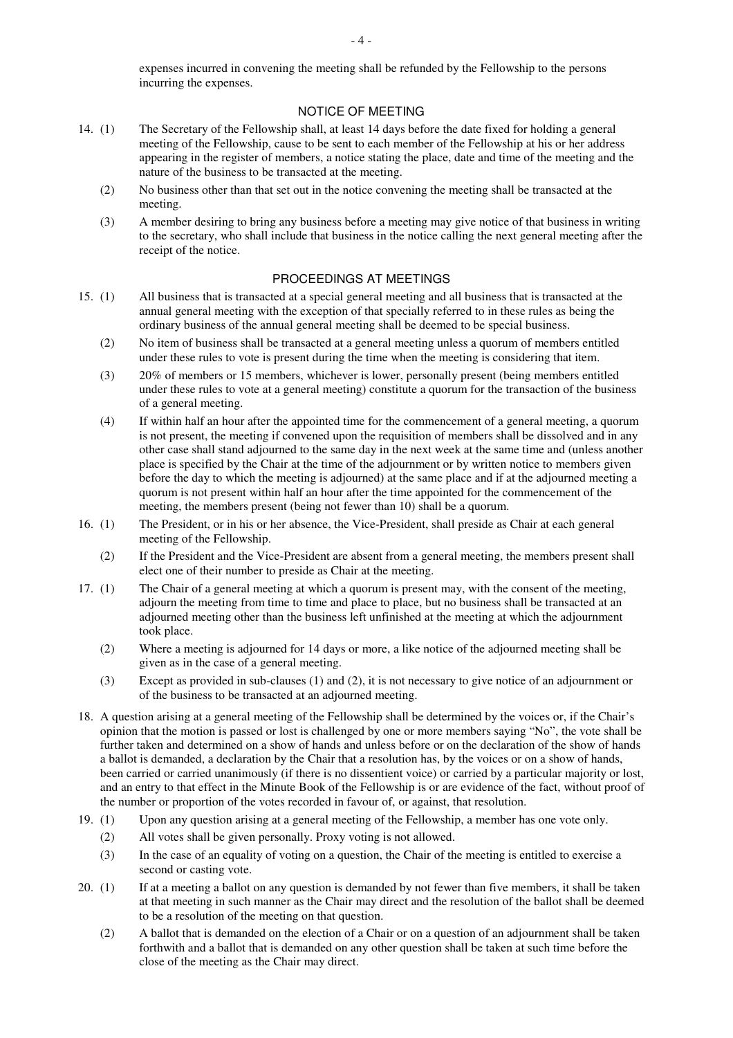expenses incurred in convening the meeting shall be refunded by the Fellowship to the persons incurring the expenses.

## NOTICE OF MEETING

- 14. (1) The Secretary of the Fellowship shall, at least 14 days before the date fixed for holding a general meeting of the Fellowship, cause to be sent to each member of the Fellowship at his or her address appearing in the register of members, a notice stating the place, date and time of the meeting and the nature of the business to be transacted at the meeting.
	- (2) No business other than that set out in the notice convening the meeting shall be transacted at the meeting.
	- (3) A member desiring to bring any business before a meeting may give notice of that business in writing to the secretary, who shall include that business in the notice calling the next general meeting after the receipt of the notice.

# PROCEEDINGS AT MEETINGS

- 15. (1) All business that is transacted at a special general meeting and all business that is transacted at the annual general meeting with the exception of that specially referred to in these rules as being the ordinary business of the annual general meeting shall be deemed to be special business.
	- (2) No item of business shall be transacted at a general meeting unless a quorum of members entitled under these rules to vote is present during the time when the meeting is considering that item.
	- (3) 20% of members or 15 members, whichever is lower, personally present (being members entitled under these rules to vote at a general meeting) constitute a quorum for the transaction of the business of a general meeting.
	- (4) If within half an hour after the appointed time for the commencement of a general meeting, a quorum is not present, the meeting if convened upon the requisition of members shall be dissolved and in any other case shall stand adjourned to the same day in the next week at the same time and (unless another place is specified by the Chair at the time of the adjournment or by written notice to members given before the day to which the meeting is adjourned) at the same place and if at the adjourned meeting a quorum is not present within half an hour after the time appointed for the commencement of the meeting, the members present (being not fewer than 10) shall be a quorum.
- 16. (1) The President, or in his or her absence, the Vice-President, shall preside as Chair at each general meeting of the Fellowship.
	- (2) If the President and the Vice-President are absent from a general meeting, the members present shall elect one of their number to preside as Chair at the meeting.
- 17. (1) The Chair of a general meeting at which a quorum is present may, with the consent of the meeting, adjourn the meeting from time to time and place to place, but no business shall be transacted at an adjourned meeting other than the business left unfinished at the meeting at which the adjournment took place.
	- (2) Where a meeting is adjourned for 14 days or more, a like notice of the adjourned meeting shall be given as in the case of a general meeting.
	- (3) Except as provided in sub-clauses (1) and (2), it is not necessary to give notice of an adjournment or of the business to be transacted at an adjourned meeting.
- 18. A question arising at a general meeting of the Fellowship shall be determined by the voices or, if the Chair's opinion that the motion is passed or lost is challenged by one or more members saying "No", the vote shall be further taken and determined on a show of hands and unless before or on the declaration of the show of hands a ballot is demanded, a declaration by the Chair that a resolution has, by the voices or on a show of hands, been carried or carried unanimously (if there is no dissentient voice) or carried by a particular majority or lost, and an entry to that effect in the Minute Book of the Fellowship is or are evidence of the fact, without proof of the number or proportion of the votes recorded in favour of, or against, that resolution.
- 19. (1) Upon any question arising at a general meeting of the Fellowship, a member has one vote only.
	- (2) All votes shall be given personally. Proxy voting is not allowed.
	- (3) In the case of an equality of voting on a question, the Chair of the meeting is entitled to exercise a second or casting vote.
- 20. (1) If at a meeting a ballot on any question is demanded by not fewer than five members, it shall be taken at that meeting in such manner as the Chair may direct and the resolution of the ballot shall be deemed to be a resolution of the meeting on that question.
	- (2) A ballot that is demanded on the election of a Chair or on a question of an adjournment shall be taken forthwith and a ballot that is demanded on any other question shall be taken at such time before the close of the meeting as the Chair may direct.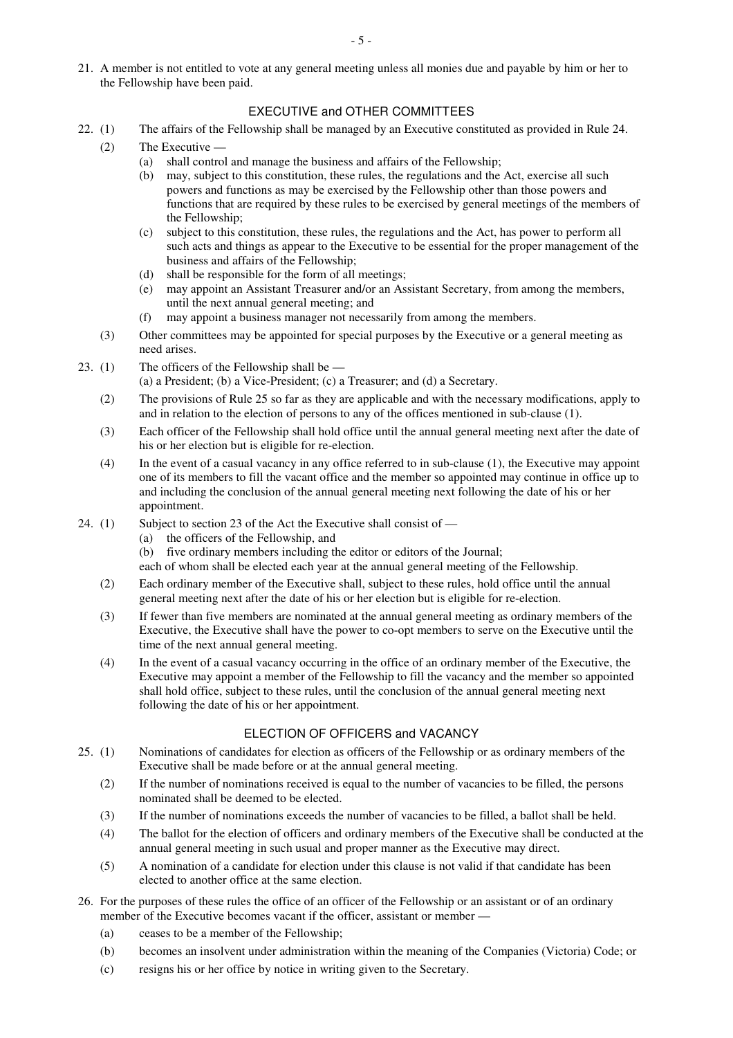21. A member is not entitled to vote at any general meeting unless all monies due and payable by him or her to the Fellowship have been paid.

# EXECUTIVE and OTHER COMMITTEES

- 22. (1) The affairs of the Fellowship shall be managed by an Executive constituted as provided in Rule 24.
	- (2) The Executive
		- (a) shall control and manage the business and affairs of the Fellowship;
			- (b) may, subject to this constitution, these rules, the regulations and the Act, exercise all such powers and functions as may be exercised by the Fellowship other than those powers and functions that are required by these rules to be exercised by general meetings of the members of the Fellowship;
		- (c) subject to this constitution, these rules, the regulations and the Act, has power to perform all such acts and things as appear to the Executive to be essential for the proper management of the business and affairs of the Fellowship;
		- (d) shall be responsible for the form of all meetings;
		- (e) may appoint an Assistant Treasurer and/or an Assistant Secretary, from among the members, until the next annual general meeting; and
		- (f) may appoint a business manager not necessarily from among the members.
	- (3) Other committees may be appointed for special purposes by the Executive or a general meeting as need arises.
- 23. (1) The officers of the Fellowship shall be  $-$ 
	- (a) a President; (b) a Vice-President; (c) a Treasurer; and (d) a Secretary.
	- (2) The provisions of Rule 25 so far as they are applicable and with the necessary modifications, apply to and in relation to the election of persons to any of the offices mentioned in sub-clause (1).
	- (3) Each officer of the Fellowship shall hold office until the annual general meeting next after the date of his or her election but is eligible for re-election.
	- (4) In the event of a casual vacancy in any office referred to in sub-clause (1), the Executive may appoint one of its members to fill the vacant office and the member so appointed may continue in office up to and including the conclusion of the annual general meeting next following the date of his or her appointment.
- 24. (1) Subject to section 23 of the Act the Executive shall consist of
	- (a) the officers of the Fellowship, and
	- (b) five ordinary members including the editor or editors of the Journal;

each of whom shall be elected each year at the annual general meeting of the Fellowship.

- (2) Each ordinary member of the Executive shall, subject to these rules, hold office until the annual general meeting next after the date of his or her election but is eligible for re-election.
- (3) If fewer than five members are nominated at the annual general meeting as ordinary members of the Executive, the Executive shall have the power to co-opt members to serve on the Executive until the time of the next annual general meeting.
- (4) In the event of a casual vacancy occurring in the office of an ordinary member of the Executive, the Executive may appoint a member of the Fellowship to fill the vacancy and the member so appointed shall hold office, subject to these rules, until the conclusion of the annual general meeting next following the date of his or her appointment.

# ELECTION OF OFFICERS and VACANCY

- 25. (1) Nominations of candidates for election as officers of the Fellowship or as ordinary members of the Executive shall be made before or at the annual general meeting.
	- (2) If the number of nominations received is equal to the number of vacancies to be filled, the persons nominated shall be deemed to be elected.
	- (3) If the number of nominations exceeds the number of vacancies to be filled, a ballot shall be held.
	- (4) The ballot for the election of officers and ordinary members of the Executive shall be conducted at the annual general meeting in such usual and proper manner as the Executive may direct.
	- (5) A nomination of a candidate for election under this clause is not valid if that candidate has been elected to another office at the same election.
- 26. For the purposes of these rules the office of an officer of the Fellowship or an assistant or of an ordinary member of the Executive becomes vacant if the officer, assistant or member —
	- (a) ceases to be a member of the Fellowship;
	- (b) becomes an insolvent under administration within the meaning of the Companies (Victoria) Code; or
	- (c) resigns his or her office by notice in writing given to the Secretary.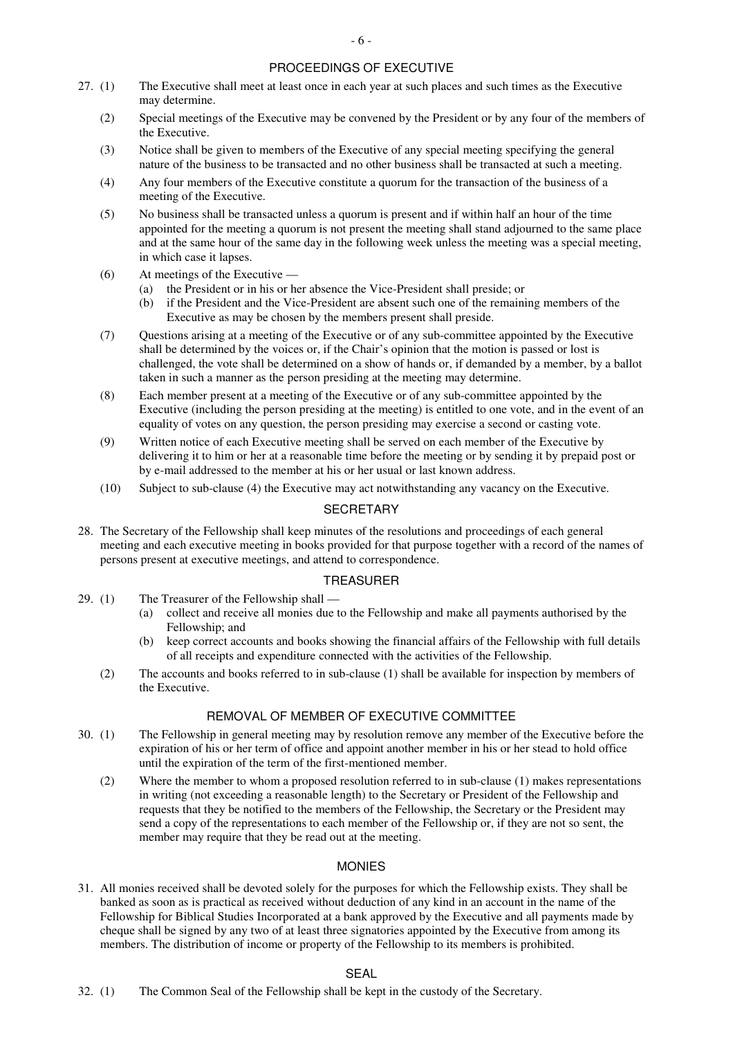# PROCEEDINGS OF EXECUTIVE

- 27. (1) The Executive shall meet at least once in each year at such places and such times as the Executive may determine.
	- (2) Special meetings of the Executive may be convened by the President or by any four of the members of the Executive.
	- (3) Notice shall be given to members of the Executive of any special meeting specifying the general nature of the business to be transacted and no other business shall be transacted at such a meeting.
	- (4) Any four members of the Executive constitute a quorum for the transaction of the business of a meeting of the Executive.
	- (5) No business shall be transacted unless a quorum is present and if within half an hour of the time appointed for the meeting a quorum is not present the meeting shall stand adjourned to the same place and at the same hour of the same day in the following week unless the meeting was a special meeting, in which case it lapses.
	- (6) At meetings of the Executive
		- (a) the President or in his or her absence the Vice-President shall preside; or
		- (b) if the President and the Vice-President are absent such one of the remaining members of the Executive as may be chosen by the members present shall preside.
	- (7) Questions arising at a meeting of the Executive or of any sub-committee appointed by the Executive shall be determined by the voices or, if the Chair's opinion that the motion is passed or lost is challenged, the vote shall be determined on a show of hands or, if demanded by a member, by a ballot taken in such a manner as the person presiding at the meeting may determine.
	- (8) Each member present at a meeting of the Executive or of any sub-committee appointed by the Executive (including the person presiding at the meeting) is entitled to one vote, and in the event of an equality of votes on any question, the person presiding may exercise a second or casting vote.
	- (9) Written notice of each Executive meeting shall be served on each member of the Executive by delivering it to him or her at a reasonable time before the meeting or by sending it by prepaid post or by e-mail addressed to the member at his or her usual or last known address.
	- (10) Subject to sub-clause (4) the Executive may act notwithstanding any vacancy on the Executive.

## **SECRETARY**

28. The Secretary of the Fellowship shall keep minutes of the resolutions and proceedings of each general meeting and each executive meeting in books provided for that purpose together with a record of the names of persons present at executive meetings, and attend to correspondence.

#### TREASURER

- 29. (1) The Treasurer of the Fellowship shall
	- (a) collect and receive all monies due to the Fellowship and make all payments authorised by the Fellowship; and
	- (b) keep correct accounts and books showing the financial affairs of the Fellowship with full details of all receipts and expenditure connected with the activities of the Fellowship.
	- (2) The accounts and books referred to in sub-clause (1) shall be available for inspection by members of the Executive.

## REMOVAL OF MEMBER OF EXECUTIVE COMMITTEE

- 30. (1) The Fellowship in general meeting may by resolution remove any member of the Executive before the expiration of his or her term of office and appoint another member in his or her stead to hold office until the expiration of the term of the first-mentioned member.
	- (2) Where the member to whom a proposed resolution referred to in sub-clause (1) makes representations in writing (not exceeding a reasonable length) to the Secretary or President of the Fellowship and requests that they be notified to the members of the Fellowship, the Secretary or the President may send a copy of the representations to each member of the Fellowship or, if they are not so sent, the member may require that they be read out at the meeting.

## MONIES

31. All monies received shall be devoted solely for the purposes for which the Fellowship exists. They shall be banked as soon as is practical as received without deduction of any kind in an account in the name of the Fellowship for Biblical Studies Incorporated at a bank approved by the Executive and all payments made by cheque shall be signed by any two of at least three signatories appointed by the Executive from among its members. The distribution of income or property of the Fellowship to its members is prohibited.

## SEAL

32. (1) The Common Seal of the Fellowship shall be kept in the custody of the Secretary.